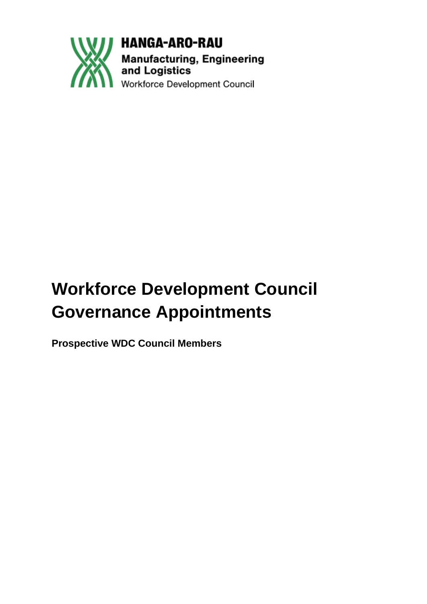

**HANGA-ARO-RAU Manufacturing, Engineering<br>and Logistics** Workforce Development Council

# **Workforce Development Council Governance Appointments**

**Prospective WDC Council Members**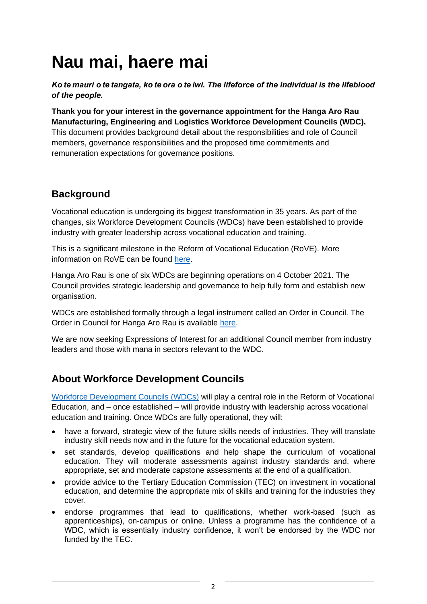# **Nau mai, haere mai**

*Ko te mauri o te tangata, ko te ora o te iwi. The lifeforce of the individual is the lifeblood of the people.*

**Thank you for your interest in the governance appointment for the Hanga Aro Rau Manufacturing, Engineering and Logistics Workforce Development Councils (WDC).** This document provides background detail about the responsibilities and role of Council members, governance responsibilities and the proposed time commitments and remuneration expectations for governance positions.

## **Background**

Vocational education is undergoing its biggest transformation in 35 years. As part of the changes, six Workforce Development Councils (WDCs) have been established to provide industry with greater leadership across vocational education and training.

This is a significant milestone in the Reform of Vocational Education (RoVE). More information on RoVE can be found [here.](https://www.tec.govt.nz/rove/reform-of-vocational-education/)

Hanga Aro Rau is one of six WDCs are beginning operations on 4 October 2021. The Council provides strategic leadership and governance to help fully form and establish new organisation.

WDCs are established formally through a legal instrument called an Order in Council. The Order in Council for Hanga Aro Rau is available [here.](https://legislation.govt.nz/regulation/public/2021/0099/20.0/LMS490979.html)

We are now seeking Expressions of Interest for an additional Council member from industry leaders and those with mana in sectors relevant to the WDC.

## **About Workforce Development Councils**

[Workforce Development Councils \(WDCs\)](https://www.ohumahi.nz/) will play a central role in the Reform of Vocational Education, and – once established – will provide industry with leadership across vocational education and training. Once WDCs are fully operational, they will:

- have a forward, strategic view of the future skills needs of industries. They will translate industry skill needs now and in the future for the vocational education system.
- set standards, develop qualifications and help shape the curriculum of vocational education. They will moderate assessments against industry standards and, where appropriate, set and moderate capstone assessments at the end of a qualification.
- provide advice to the Tertiary Education Commission (TEC) on investment in vocational education, and determine the appropriate mix of skills and training for the industries they cover.
- endorse programmes that lead to qualifications, whether work-based (such as apprenticeships), on-campus or online. Unless a programme has the confidence of a WDC, which is essentially industry confidence, it won't be endorsed by the WDC nor funded by the TEC.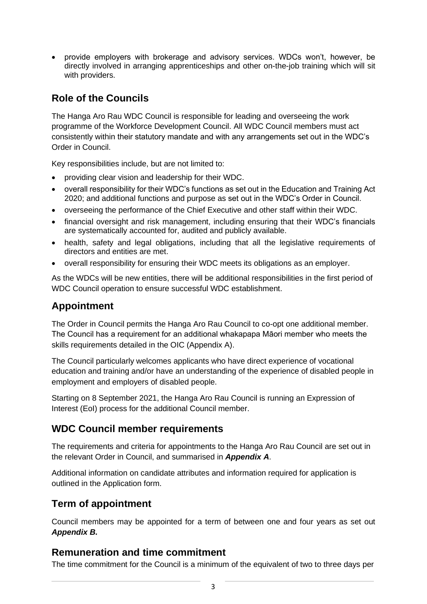• provide employers with brokerage and advisory services. WDCs won't, however, be directly involved in arranging apprenticeships and other on-the-job training which will sit with providers.

### **Role of the Councils**

The Hanga Aro Rau WDC Council is responsible for leading and overseeing the work programme of the Workforce Development Council. All WDC Council members must act consistently within their statutory mandate and with any arrangements set out in the WDC's Order in Council.

Key responsibilities include, but are not limited to:

- providing clear vision and leadership for their WDC.
- overall responsibility for their WDC's functions as set out in the Education and Training Act 2020; and additional functions and purpose as set out in the WDC's Order in Council.
- overseeing the performance of the Chief Executive and other staff within their WDC.
- financial oversight and risk management, including ensuring that their WDC's financials are systematically accounted for, audited and publicly available.
- health, safety and legal obligations, including that all the legislative requirements of directors and entities are met.
- overall responsibility for ensuring their WDC meets its obligations as an employer.

As the WDCs will be new entities, there will be additional responsibilities in the first period of WDC Council operation to ensure successful WDC establishment.

#### **Appointment**

The Order in Council permits the Hanga Aro Rau Council to co-opt one additional member. The Council has a requirement for an additional whakapapa Māori member who meets the skills requirements detailed in the OIC (Appendix A).

The Council particularly welcomes applicants who have direct experience of vocational education and training and/or have an understanding of the experience of disabled people in employment and employers of disabled people.

Starting on 8 September 2021, the Hanga Aro Rau Council is running an Expression of Interest (EoI) process for the additional Council member.

#### **WDC Council member requirements**

The requirements and criteria for appointments to the Hanga Aro Rau Council are set out in the relevant Order in Council, and summarised in *Appendix A*.

Additional information on candidate attributes and information required for application is outlined in the Application form.

#### **Term of appointment**

Council members may be appointed for a term of between one and four years as set out *Appendix B.*

#### **Remuneration and time commitment**

The time commitment for the Council is a minimum of the equivalent of two to three days per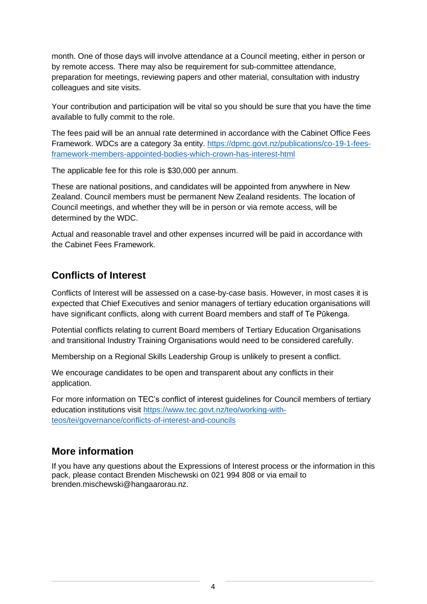month. One of those days will involve attendance at a Council meeting, either in person or by remote access. There may also be requirement for sub-committee attendance, preparation for meetings, reviewing papers and other material, consultation with industry colleagues and site visits.

Your contribution and participation will be vital so you should be sure that you have the time available to fully commit to the role.

The fees paid will be an annual rate determined in accordance with the Cabinet Office Fees Framework. WDCs are a category 3a entity. [https://dpmc.govt.nz/publications/co-19-1-fees](https://dpmc.govt.nz/publications/co-19-1-fees-framework-members-appointed-bodies-which-crown-has-interest-html)[framework-members-appointed-bodies-which-crown-has-interest-html](https://dpmc.govt.nz/publications/co-19-1-fees-framework-members-appointed-bodies-which-crown-has-interest-html)

The applicable fee for this role is \$30,000 per annum.

These are national positions, and candidates will be appointed from anywhere in New Zealand. Council members must be permanent New Zealand residents. The location of Council meetings, and whether they will be in person or via remote access, will be determined by the WDC.

Actual and reasonable travel and other expenses incurred will be paid in accordance with the Cabinet Fees Framework.

## **Conflicts of Interest**

Conflicts of Interest will be assessed on a case-by-case basis. However, in most cases it is expected that Chief Executives and senior managers of tertiary education organisations will have significant conflicts, along with current Board members and staff of Te Pūkenga.

Potential conflicts relating to current Board members of Tertiary Education Organisations and transitional Industry Training Organisations would need to be considered carefully.

Membership on a Regional Skills Leadership Group is unlikely to present a conflict.

We encourage candidates to be open and transparent about any conflicts in their application.

For more information on TEC's conflict of interest guidelines for Council members of tertiary education institutions visit [https://www.tec.govt.nz/teo/working-with](https://www.tec.govt.nz/teo/working-with-teos/tei/governance/conflicts-of-interest-and-councils)[teos/tei/governance/conflicts-of-interest-and-councils](https://www.tec.govt.nz/teo/working-with-teos/tei/governance/conflicts-of-interest-and-councils)

#### **More information**

If you have any questions about the Expressions of Interest process or the information in this pack, please contact Brenden Mischewski on 021 994 808 or via email to brenden.mischewski@hangaarorau.nz.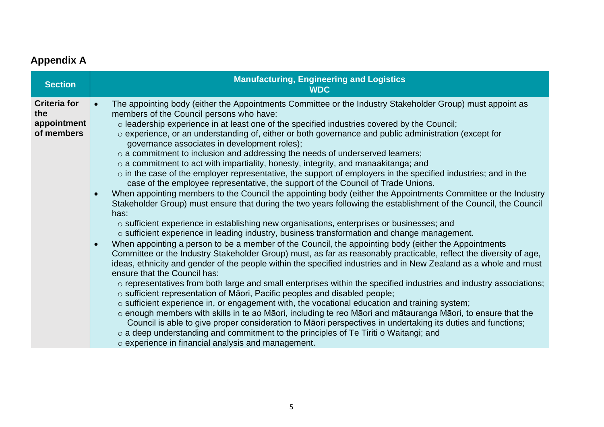# **Appendix A**

| <b>Section</b>                                          | <b>Manufacturing, Engineering and Logistics</b><br><b>WDC</b>                                                                                                                                                                                                                                                                                                                                                                                                                                                                                                                                                                                                                                                                                                                                                                                                                                                                                                                                                                                                                                                                                                                                                                                                                                                                                                                                                                                                                                                                                                                                                                                                                                                                                                                                                                                                                                                                                                                                                                                                                                                                                                                                                                                                                                                                                              |
|---------------------------------------------------------|------------------------------------------------------------------------------------------------------------------------------------------------------------------------------------------------------------------------------------------------------------------------------------------------------------------------------------------------------------------------------------------------------------------------------------------------------------------------------------------------------------------------------------------------------------------------------------------------------------------------------------------------------------------------------------------------------------------------------------------------------------------------------------------------------------------------------------------------------------------------------------------------------------------------------------------------------------------------------------------------------------------------------------------------------------------------------------------------------------------------------------------------------------------------------------------------------------------------------------------------------------------------------------------------------------------------------------------------------------------------------------------------------------------------------------------------------------------------------------------------------------------------------------------------------------------------------------------------------------------------------------------------------------------------------------------------------------------------------------------------------------------------------------------------------------------------------------------------------------------------------------------------------------------------------------------------------------------------------------------------------------------------------------------------------------------------------------------------------------------------------------------------------------------------------------------------------------------------------------------------------------------------------------------------------------------------------------------------------------|
| <b>Criteria for</b><br>the<br>appointment<br>of members | The appointing body (either the Appointments Committee or the Industry Stakeholder Group) must appoint as<br>$\bullet$<br>members of the Council persons who have:<br>o leadership experience in at least one of the specified industries covered by the Council;<br>o experience, or an understanding of, either or both governance and public administration (except for<br>governance associates in development roles);<br>o a commitment to inclusion and addressing the needs of underserved learners;<br>$\circ$ a commitment to act with impartiality, honesty, integrity, and manaakitanga; and<br>o in the case of the employer representative, the support of employers in the specified industries; and in the<br>case of the employee representative, the support of the Council of Trade Unions.<br>When appointing members to the Council the appointing body (either the Appointments Committee or the Industry<br>$\bullet$<br>Stakeholder Group) must ensure that during the two years following the establishment of the Council, the Council<br>has:<br>o sufficient experience in establishing new organisations, enterprises or businesses; and<br>o sufficient experience in leading industry, business transformation and change management.<br>When appointing a person to be a member of the Council, the appointing body (either the Appointments<br>$\bullet$<br>Committee or the Industry Stakeholder Group) must, as far as reasonably practicable, reflect the diversity of age,<br>ideas, ethnicity and gender of the people within the specified industries and in New Zealand as a whole and must<br>ensure that the Council has:<br>o representatives from both large and small enterprises within the specified industries and industry associations;<br>o sufficient representation of Māori, Pacific peoples and disabled people;<br>o sufficient experience in, or engagement with, the vocational education and training system;<br>o enough members with skills in te ao Māori, including te reo Māori and mātauranga Māori, to ensure that the<br>Council is able to give proper consideration to Māori perspectives in undertaking its duties and functions;<br>o a deep understanding and commitment to the principles of Te Tiriti o Waitangi; and<br>$\circ$ experience in financial analysis and management. |